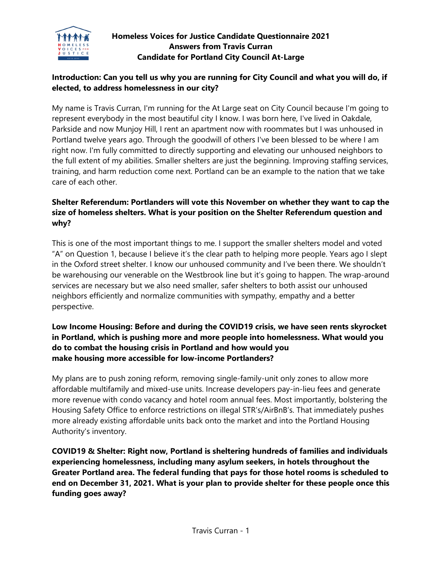

# **Homeless Voices for Justice Candidate Questionnaire 2021 Answers from Travis Curran Candidate for Portland City Council At-Large**

# **Introduction: Can you tell us why you are running for City Council and what you will do, if elected, to address homelessness in our city?**

My name is Travis Curran, I'm running for the At Large seat on City Council because I'm going to represent everybody in the most beautiful city I know. I was born here, I've lived in Oakdale, Parkside and now Munjoy Hill, I rent an apartment now with roommates but I was unhoused in Portland twelve years ago. Through the goodwill of others I've been blessed to be where I am right now. I'm fully committed to directly supporting and elevating our unhoused neighbors to the full extent of my abilities. Smaller shelters are just the beginning. Improving staffing services, training, and harm reduction come next. Portland can be an example to the nation that we take care of each other.

## **Shelter Referendum: Portlanders will vote this November on whether they want to cap the size of homeless shelters. What is your position on the Shelter Referendum question and why?**

This is one of the most important things to me. I support the smaller shelters model and voted "A" on Question 1, because I believe it's the clear path to helping more people. Years ago I slept in the Oxford street shelter. I know our unhoused community and I've been there. We shouldn't be warehousing our venerable on the Westbrook line but it's going to happen. The wrap-around services are necessary but we also need smaller, safer shelters to both assist our unhoused neighbors efficiently and normalize communities with sympathy, empathy and a better perspective.

### **Low Income Housing: Before and during the COVID19 crisis, we have seen rents skyrocket in Portland, which is pushing more and more people into homelessness. What would you do to combat the housing crisis in Portland and how would you make housing more accessible for low-income Portlanders?**

My plans are to push zoning reform, removing single-family-unit only zones to allow more affordable multifamily and mixed-use units. Increase developers pay-in-lieu fees and generate more revenue with condo vacancy and hotel room annual fees. Most importantly, bolstering the Housing Safety Office to enforce restrictions on illegal STR's/AirBnB's. That immediately pushes more already existing affordable units back onto the market and into the Portland Housing Authority's inventory.

**COVID19 & Shelter: Right now, Portland is sheltering hundreds of families and individuals experiencing homelessness, including many asylum seekers, in hotels throughout the Greater Portland area. The federal funding that pays for those hotel rooms is scheduled to end on December 31, 2021. What is your plan to provide shelter for these people once this funding goes away?**